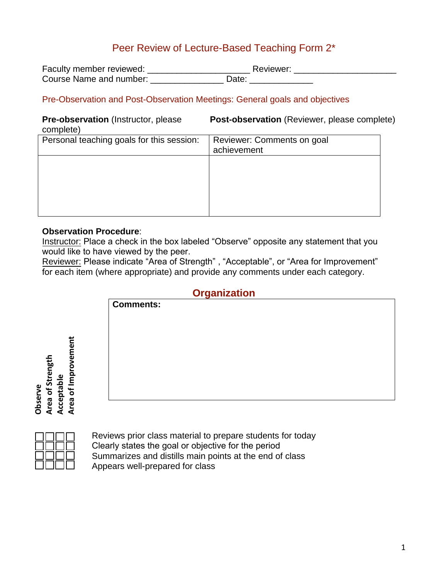# Peer Review of Lecture-Based Teaching Form 2\*

| Faculty member reviewed: | Reviewer:         |  |
|--------------------------|-------------------|--|
| Course Name and number:  | Jate <sup>.</sup> |  |

#### Pre-Observation and Post-Observation Meetings: General goals and objectives

# complete)

**Pre-observation** (Instructor, please **Post-observation** (Reviewer, please complete)

| <b>COLLIDICIA</b>                         |                                           |  |
|-------------------------------------------|-------------------------------------------|--|
| Personal teaching goals for this session: | Reviewer: Comments on goal<br>achievement |  |
|                                           |                                           |  |
|                                           |                                           |  |
|                                           |                                           |  |

#### **Observation Procedure**:

Instructor: Place a check in the box labeled "Observe" opposite any statement that you would like to have viewed by the peer.

Reviewer: Please indicate "Area of Strength" , "Acceptable", or "Area for Improvement" for each item (where appropriate) and provide any comments under each category.

#### **Organization**

|             | , . <b>.</b>     |
|-------------|------------------|
|             | <b>Comments:</b> |
|             |                  |
|             |                  |
| Improvement |                  |
|             |                  |
|             |                  |
| ৳           |                  |

| Observe | Area of Strength | Acceptable | Area of Improvement |
|---------|------------------|------------|---------------------|
|         |                  |            |                     |

Reviews prior class material to prepare students for today Clearly states the goal or objective for the period Summarizes and distills main points at the end of class Appears well-prepared for class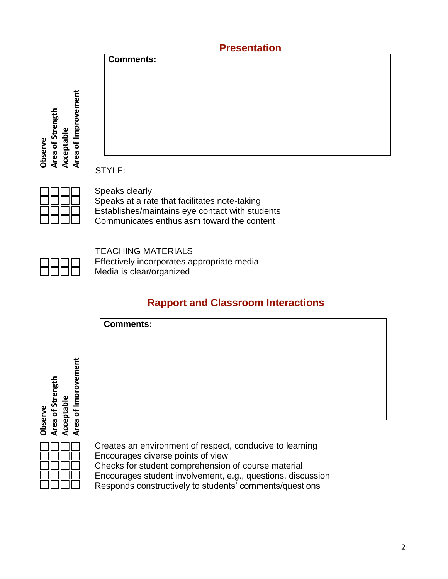|                                | <b>Presentation</b> |  |
|--------------------------------|---------------------|--|
|                                | <b>Comments:</b>    |  |
|                                |                     |  |
|                                |                     |  |
| tig                            |                     |  |
| rem                            |                     |  |
| rength<br>о                    |                     |  |
| gul<br>Acceptable<br>ū         |                     |  |
| Observe<br>$\mathfrak{b}$<br>ð |                     |  |
| Area<br>rea<br>⋖               | ----                |  |

STYLE:

Speaks clearly Speaks at a rate that facilitates note-taking Establishes/maintains eye contact with students Communicates enthusiasm toward the content

 TEACHING MATERIALS Effectively incorporates appropriate media Media is clear/organized

# **Rapport and Classroom Interactions**



**Observe Area of Strength**

**Acceptable**<br>Area of Improvement **Area of Improvement**

> Creates an environment of respect, conducive to learning Encourages diverse points of view Checks for student comprehension of course material Encourages student involvement, e.g., questions, discussion Responds constructively to students' comments/questions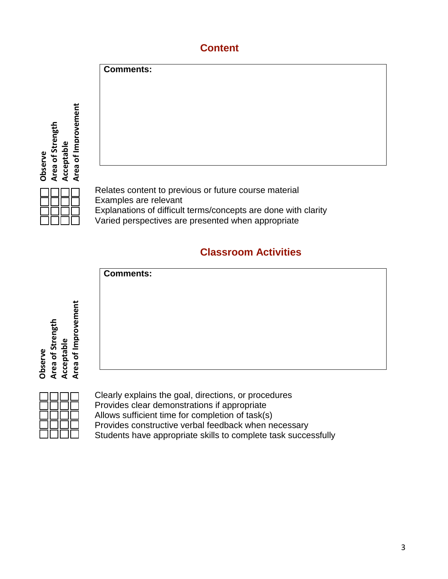# **Content**



Varied perspectives are presented when appropriate

### **Classroom Activities**



Clearly explains the goal, directions, or procedures Provides clear demonstrations if appropriate Allows sufficient time for completion of task(s) Provides constructive verbal feedback when necessary Students have appropriate skills to complete task successfully